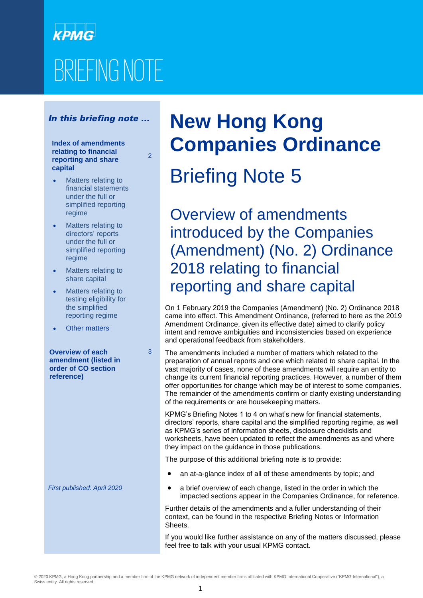# **КРМС** BRIEFING NOTE

### In this briefing note …

#### **Index of amendments relating to financial reporting and share capital**

2

3

- Matters relating to financial statements under the full or simplified reporting regime
- Matters relating to directors' reports under the full or simplified reporting regime
- Matters relating to share capital
- Matters relating to testing eligibility for the simplified reporting regime
- Other matters

**Overview of each amendment (listed in order of CO section reference)**

*First published: April 2020*

## **New Hong Kong Companies Ordinance**

# Briefing Note 5

Overview of amendments introduced by the Companies (Amendment) (No. 2) Ordinance 2018 relating to financial reporting and share capital

On 1 February 2019 the Companies (Amendment) (No. 2) Ordinance 2018 came into effect. This Amendment Ordinance, (referred to here as the 2019 Amendment Ordinance, given its effective date) aimed to clarify policy intent and remove ambiguities and inconsistencies based on experience and operational feedback from stakeholders.

The amendments included a number of matters which related to the preparation of annual reports and one which related to share capital. In the vast majority of cases, none of these amendments will require an entity to change its current financial reporting practices. However, a number of them offer opportunities for change which may be of interest to some companies. The remainder of the amendments confirm or clarify existing understanding of the requirements or are housekeeping matters.

KPMG's Briefing Notes 1 to 4 on what's new for financial statements, directors' reports, share capital and the simplified reporting regime, as well as KPMG's series of information sheets, disclosure checklists and worksheets, have been updated to reflect the amendments as and where they impact on the guidance in those publications.

The purpose of this additional briefing note is to provide:

- an at-a-glance index of all of these amendments by topic; and
- a brief overview of each change, listed in the order in which the impacted sections appear in the Companies Ordinance, for reference.

Further details of the amendments and a fuller understanding of their context, can be found in the respective Briefing Notes or Information Sheets.

If you would like further assistance on any of the matters discussed, please feel free to talk with your usual KPMG contact.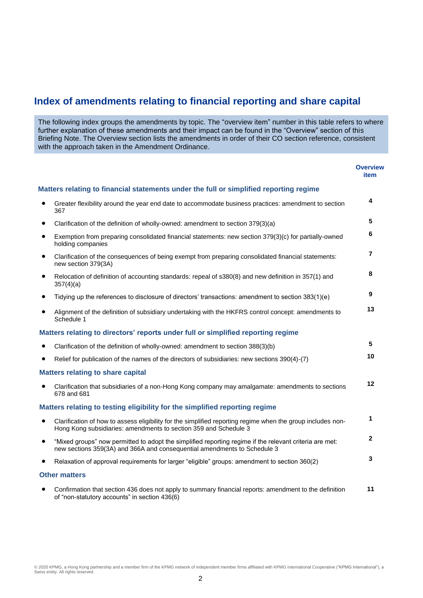### **Index of amendments relating to financial reporting and share capital**

The following index groups the amendments by topic. The "overview item" number in this table refers to where further explanation of these amendments and their impact can be found in the "Overview" section of this Briefing Note. The Overview section lists the amendments in order of their CO section reference, consistent with the approach taken in the Amendment Ordinance.

|           |                                                                                                                                                                                     | <b>Overview</b><br>item |
|-----------|-------------------------------------------------------------------------------------------------------------------------------------------------------------------------------------|-------------------------|
|           | Matters relating to financial statements under the full or simplified reporting regime                                                                                              |                         |
|           | Greater flexibility around the year end date to accommodate business practices: amendment to section<br>367                                                                         | 4                       |
| $\bullet$ | Clarification of the definition of wholly-owned: amendment to section 379(3)(a)                                                                                                     | 5                       |
| $\bullet$ | Exemption from preparing consolidated financial statements: new section 379(3)(c) for partially-owned<br>holding companies                                                          | 6                       |
| $\bullet$ | Clarification of the consequences of being exempt from preparing consolidated financial statements:<br>new section 379(3A)                                                          | $\overline{7}$          |
| $\bullet$ | Relocation of definition of accounting standards: repeal of s380(8) and new definition in 357(1) and<br>357(4)(a)                                                                   | 8                       |
| $\bullet$ | Tidying up the references to disclosure of directors' transactions: amendment to section 383(1)(e)                                                                                  | 9                       |
| $\bullet$ | Alignment of the definition of subsidiary undertaking with the HKFRS control concept: amendments to<br>Schedule 1                                                                   | 13                      |
|           | Matters relating to directors' reports under full or simplified reporting regime                                                                                                    |                         |
| $\bullet$ | Clarification of the definition of wholly-owned: amendment to section 388(3)(b)                                                                                                     | 5                       |
|           | Relief for publication of the names of the directors of subsidiaries: new sections 390(4)-(7)                                                                                       | 10                      |
|           | <b>Matters relating to share capital</b>                                                                                                                                            |                         |
| $\bullet$ | Clarification that subsidiaries of a non-Hong Kong company may amalgamate: amendments to sections<br>678 and 681                                                                    | 12                      |
|           | Matters relating to testing eligibility for the simplified reporting regime                                                                                                         |                         |
| $\bullet$ | Clarification of how to assess eligibility for the simplified reporting regime when the group includes non-<br>Hong Kong subsidiaries: amendments to section 359 and Schedule 3     | 1                       |
| $\bullet$ | "Mixed groups" now permitted to adopt the simplified reporting regime if the relevant criteria are met:<br>new sections 359(3A) and 366A and consequential amendments to Schedule 3 | $\mathbf{2}$            |
| $\bullet$ | Relaxation of approval requirements for larger "eligible" groups: amendment to section 360(2)                                                                                       | 3                       |
|           | <b>Other matters</b>                                                                                                                                                                |                         |
|           | Confirmation that section 436 does not apply to summary financial reports: amendment to the definition<br>of "non-statutory accounts" in section 436(6)                             | 11                      |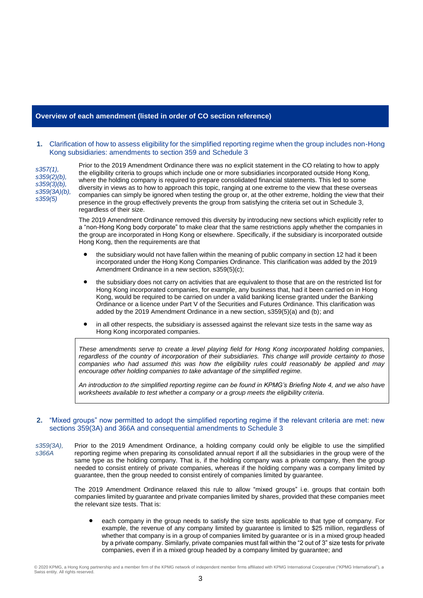#### **Overview of each amendment (listed in order of CO section reference)**

#### **1.** Clarification of how to assess eligibility for the simplified reporting regime when the group includes non-Hong Kong subsidiaries: amendments to section 359 and Schedule 3

*s357(1), s359(2)(b), s359(3)(b), s359(3A)(b), s359(5)*

Prior to the 2019 Amendment Ordinance there was no explicit statement in the CO relating to how to apply the eligibility criteria to groups which include one or more subsidiaries incorporated outside Hong Kong, where the holding company is required to prepare consolidated financial statements. This led to some diversity in views as to how to approach this topic, ranging at one extreme to the view that these overseas companies can simply be ignored when testing the group or, at the other extreme, holding the view that their presence in the group effectively prevents the group from satisfying the criteria set out in Schedule 3, regardless of their size.

The 2019 Amendment Ordinance removed this diversity by introducing new sections which explicitly refer to a "non-Hong Kong body corporate" to make clear that the same restrictions apply whether the companies in the group are incorporated in Hong Kong or elsewhere. Specifically, if the subsidiary is incorporated outside Hong Kong, then the requirements are that

- the subsidiary would not have fallen within the meaning of public company in section 12 had it been incorporated under the Hong Kong Companies Ordinance. This clarification was added by the 2019 Amendment Ordinance in a new section, s359(5)(c);
- the subsidiary does not carry on activities that are equivalent to those that are on the restricted list for Hong Kong incorporated companies, for example, any business that, had it been carried on in Hong Kong, would be required to be carried on under a valid banking license granted under the Banking Ordinance or a licence under Part V of the Securities and Futures Ordinance. This clarification was added by the 2019 Amendment Ordinance in a new section, s359(5)(a) and (b); and
- in all other respects, the subsidiary is assessed against the relevant size tests in the same way as Hong Kong incorporated companies.

*These amendments serve to create a level playing field for Hong Kong incorporated holding companies, regardless of the country of incorporation of their subsidiaries. This change will provide certainty to those companies who had assumed this was how the eligibility rules could reasonably be applied and may encourage other holding companies to take advantage of the simplified regime.*

*An introduction to the simplified reporting regime can be found in KPMG's Briefing Note 4, and we also have worksheets available to test whether a company or a group meets the eligibility criteria.*

#### **2.** "Mixed groups" now permitted to adopt the simplified reporting regime if the relevant criteria are met: new sections 359(3A) and 366A and consequential amendments to Schedule 3

*s359(3A), s366A* Prior to the 2019 Amendment Ordinance, a holding company could only be eligible to use the simplified reporting regime when preparing its consolidated annual report if all the subsidiaries in the group were of the same type as the holding company. That is, if the holding company was a private company, then the group needed to consist entirely of private companies, whereas if the holding company was a company limited by guarantee, then the group needed to consist entirely of companies limited by guarantee.

> The 2019 Amendment Ordinance relaxed this rule to allow "mixed groups" i.e. groups that contain both companies limited by guarantee and private companies limited by shares, provided that these companies meet the relevant size tests. That is:

 each company in the group needs to satisfy the size tests applicable to that type of company. For example, the revenue of any company limited by guarantee is limited to \$25 million, regardless of whether that company is in a group of companies limited by guarantee or is in a mixed group headed by a private company. Similarly, private companies must fall within the "2 out of 3" size tests for private companies, even if in a mixed group headed by a company limited by guarantee; and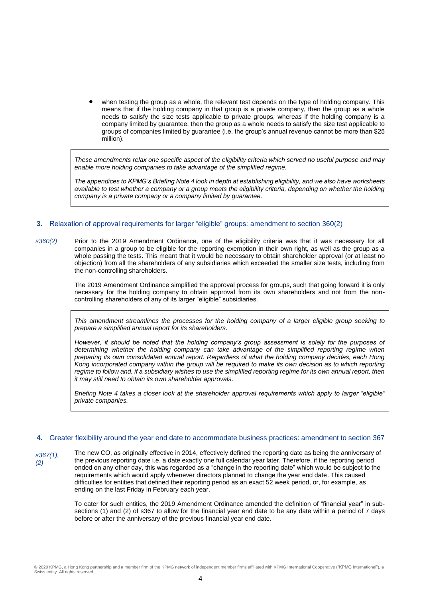when testing the group as a whole, the relevant test depends on the type of holding company. This means that if the holding company in that group is a private company, then the group as a whole needs to satisfy the size tests applicable to private groups, whereas if the holding company is a company limited by guarantee, then the group as a whole needs to satisfy the size test applicable to groups of companies limited by guarantee (i.e. the group's annual revenue cannot be more than \$25 million).

*These amendments relax one specific aspect of the eligibility criteria which served no useful purpose and may enable more holding companies to take advantage of the simplified regime.*

*The appendices to KPMG's Briefing Note 4 look in depth at establishing eligibility, and we also have worksheets available to test whether a company or a group meets the eligibility criteria, depending on whether the holding company is a private company or a company limited by guarantee.* 

#### **3.** Relaxation of approval requirements for larger "eligible" groups: amendment to section 360(2)

*s360(2)* Prior to the 2019 Amendment Ordinance, one of the eligibility criteria was that it was necessary for all companies in a group to be eligible for the reporting exemption in their own right, as well as the group as a whole passing the tests. This meant that it would be necessary to obtain shareholder approval (or at least no objection) from all the shareholders of any subsidiaries which exceeded the smaller size tests, including from the non-controlling shareholders.

> The 2019 Amendment Ordinance simplified the approval process for groups, such that going forward it is only necessary for the holding company to obtain approval from its own shareholders and not from the noncontrolling shareholders of any of its larger "eligible" subsidiaries.

> *This amendment streamlines the processes for the holding company of a larger eligible group seeking to prepare a simplified annual report for its shareholders.*

> *However, it should be noted that the holding company's group assessment is solely for the purposes of determining whether the holding company can take advantage of the simplified reporting regime when preparing its own consolidated annual report. Regardless of what the holding company decides, each Hong Kong incorporated company within the group will be required to make its own decision as to which reporting*  regime to follow and, if a subsidiary wishes to use the simplified reporting regime for its own annual report, then *it may still need to obtain its own shareholder approvals.*

> *Briefing Note 4 takes a closer look at the shareholder approval requirements which apply to larger "eligible" private companies.*

#### **4.** Greater flexibility around the year end date to accommodate business practices: amendment to section 367

*s367(1), (2)*

The new CO, as originally effective in 2014, effectively defined the reporting date as being the anniversary of the previous reporting date i.e. a date exactly one full calendar year later. Therefore, if the reporting period ended on any other day, this was regarded as a "change in the reporting date" which would be subject to the requirements which would apply whenever directors planned to change the year end date. This caused difficulties for entities that defined their reporting period as an exact 52 week period, or, for example, as ending on the last Friday in February each year.

To cater for such entities, the 2019 Amendment Ordinance amended the definition of "financial year" in subsections (1) and (2) of s367 to allow for the financial year end date to be any date within a period of 7 days before or after the anniversary of the previous financial year end date.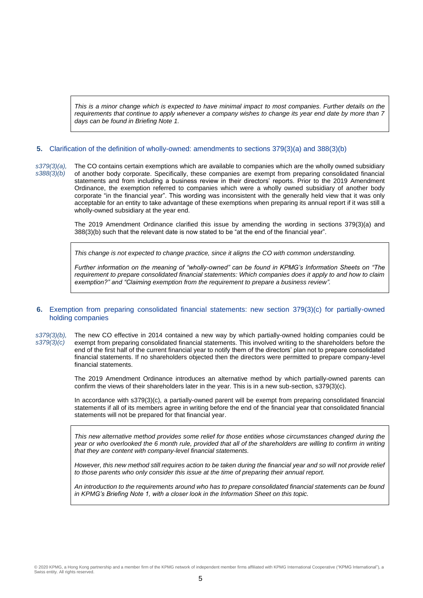*This is a minor change which is expected to have minimal impact to most companies. Further details on the requirements that continue to apply whenever a company wishes to change its year end date by more than 7 days can be found in Briefing Note 1.*

#### **5.** Clarification of the definition of wholly-owned: amendments to sections 379(3)(a) and 388(3)(b)

*s379(3)(a), s388(3)(b)* The CO contains certain exemptions which are available to companies which are the wholly owned subsidiary of another body corporate. Specifically, these companies are exempt from preparing consolidated financial statements and from including a business review in their directors' reports. Prior to the 2019 Amendment Ordinance, the exemption referred to companies which were a wholly owned subsidiary of another body corporate "in the financial year". This wording was inconsistent with the generally held view that it was only acceptable for an entity to take advantage of these exemptions when preparing its annual report if it was still a wholly-owned subsidiary at the year end.

> The 2019 Amendment Ordinance clarified this issue by amending the wording in sections 379(3)(a) and 388(3)(b) such that the relevant date is now stated to be "at the end of the financial year".

*This change is not expected to change practice, since it aligns the CO with common understanding.* 

*Further information on the meaning of "wholly-owned" can be found in KPMG's Information Sheets on "The requirement to prepare consolidated financial statements: Which companies does it apply to and how to claim exemption?" and "Claiming exemption from the requirement to prepare a business review".*

#### **6.** Exemption from preparing consolidated financial statements: new section 379(3)(c) for partially-owned holding companies

*s379(3)(b), s379(3)(c)* The new CO effective in 2014 contained a new way by which partially-owned holding companies could be exempt from preparing consolidated financial statements. This involved writing to the shareholders before the end of the first half of the current financial year to notify them of the directors' plan not to prepare consolidated financial statements. If no shareholders objected then the directors were permitted to prepare company-level financial statements.

> The 2019 Amendment Ordinance introduces an alternative method by which partially-owned parents can confirm the views of their shareholders later in the year. This is in a new sub-section, s379(3)(c).

> In accordance with s379(3)(c), a partially-owned parent will be exempt from preparing consolidated financial statements if all of its members agree in writing before the end of the financial year that consolidated financial statements will not be prepared for that financial year.

> *This new alternative method provides some relief for those entities whose circumstances changed during the year or who overlooked the 6 month rule, provided that all of the shareholders are willing to confirm in writing that they are content with company-level financial statements.*

> However, this new method still requires action to be taken during the financial year and so will not provide relief *to those parents who only consider this issue at the time of preparing their annual report.*

> *An introduction to the requirements around who has to prepare consolidated financial statements can be found in KPMG's Briefing Note 1, with a closer look in the Information Sheet on this topic.*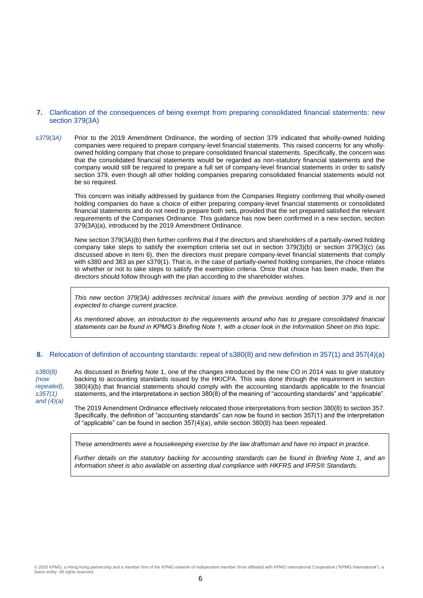#### **7.** Clarification of the consequences of being exempt from preparing consolidated financial statements: new section 379(3A)

*s379(3A)* Prior to the 2019 Amendment Ordinance, the wording of section 379 indicated that wholly-owned holding companies were required to prepare company-level financial statements. This raised concerns for any whollyowned holding company that chose to prepare consolidated financial statements. Specifically, the concern was that the consolidated financial statements would be regarded as non-statutory financial statements and the company would still be required to prepare a full set of company-level financial statements in order to satisfy section 379, even though all other holding companies preparing consolidated financial statements would not be so required.

> This concern was initially addressed by guidance from the Companies Registry confirming that wholly-owned holding companies do have a choice of either preparing company-level financial statements or consolidated financial statements and do not need to prepare both sets, provided that the set prepared satisfied the relevant requirements of the Companies Ordinance. This guidance has now been confirmed in a new section, section 379(3A)(a), introduced by the 2019 Amendment Ordinance.

> New section 379(3A)(b) then further confirms that if the directors and shareholders of a partially-owned holding company take steps to satisfy the exemption criteria set out in section 379(3)(b) or section 379(3)(c) (as discussed above in item 6), then the directors must prepare company-level financial statements that comply with s380 and 383 as per s379(1). That is, in the case of partially-owned holding companies, the choice relates to whether or not to take steps to satisfy the exemption criteria. Once that choice has been made, then the directors should follow through with the plan according to the shareholder wishes.

> *This new section 379(3A) addresses technical issues with the previous wording of section 379 and is not expected to change current practice.*

> *As mentioned above, an introduction to the requirements around who has to prepare consolidated financial statements can be found in KPMG's Briefing Note 1, with a closer look in the Information Sheet on this topic.*

#### **8.** Relocation of definition of accounting standards: repeal of s380(8) and new definition in 357(1) and 357(4)(a)

*s380(8) (now repealed), s357(1) and (4)(a)* As discussed in Briefing Note 1, one of the changes introduced by the new CO in 2014 was to give statutory backing to accounting standards issued by the HKICPA. This was done through the requirement in section 380(4)(b) that financial statements should comply with the accounting standards applicable to the financial statements, and the interpretations in section 380(8) of the meaning of "accounting standards" and "applicable".

The 2019 Amendment Ordinance effectively relocated those interpretations from section 380(8) to section 357. Specifically, the definition of "accounting standards" can now be found in section 357(1) and the interpretation of "applicable" can be found in section 357(4)(a), while section 380(8) has been repealed.

*These amendments were a housekeeping exercise by the law draftsman and have no impact in practice.*

*Further details on the statutory backing for accounting standards can be found in Briefing Note 1, and an information sheet is also available on asserting dual compliance with HKFRS and IFRS® Standards.*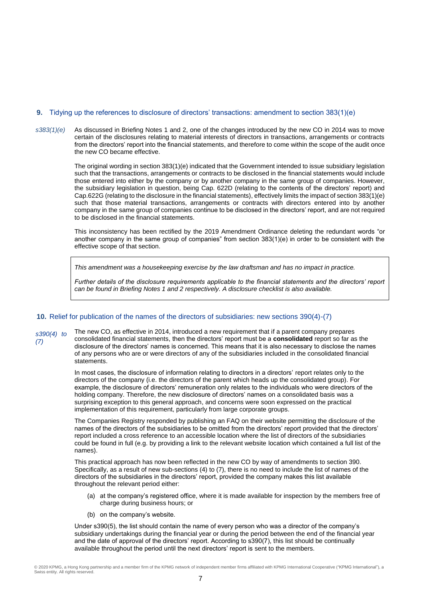#### **9.** Tidying up the references to disclosure of directors' transactions: amendment to section 383(1)(e)

*s383(1)(e)* As discussed in Briefing Notes 1 and 2, one of the changes introduced by the new CO in 2014 was to move certain of the disclosures relating to material interests of directors in transactions, arrangements or contracts from the directors' report into the financial statements, and therefore to come within the scope of the audit once the new CO became effective.

> The original wording in section 383(1)(e) indicated that the Government intended to issue subsidiary legislation such that the transactions, arrangements or contracts to be disclosed in the financial statements would include those entered into either by the company or by another company in the same group of companies. However, the subsidiary legislation in question, being Cap. 622D (relating to the contents of the directors' report) and Cap.622G (relating to the disclosure in the financial statements), effectively limits the impact of section 383(1)(e) such that those material transactions, arrangements or contracts with directors entered into by another company in the same group of companies continue to be disclosed in the directors' report, and are not required to be disclosed in the financial statements.

> This inconsistency has been rectified by the 2019 Amendment Ordinance deleting the redundant words "or another company in the same group of companies" from section 383(1)(e) in order to be consistent with the effective scope of that section.

*This amendment was a housekeeping exercise by the law draftsman and has no impact in practice.*

*Further details of the disclosure requirements applicable to the financial statements and the directors' report can be found in Briefing Notes 1 and 2 respectively. A disclosure checklist is also available.* 

#### **10.** Relief for publication of the names of the directors of subsidiaries: new sections 390(4)-(7)

*s390(4) to (7)* The new CO, as effective in 2014, introduced a new requirement that if a parent company prepares consolidated financial statements, then the directors' report must be a **consolidated** report so far as the disclosure of the directors' names is concerned. This means that it is also necessary to disclose the names of any persons who are or were directors of any of the subsidiaries included in the consolidated financial statements.

> In most cases, the disclosure of information relating to directors in a directors' report relates only to the directors of the company (i.e. the directors of the parent which heads up the consolidated group). For example, the disclosure of directors' remuneration only relates to the individuals who were directors of the holding company. Therefore, the new disclosure of directors' names on a consolidated basis was a surprising exception to this general approach, and concerns were soon expressed on the practical implementation of this requirement, particularly from large corporate groups.

The Companies Registry responded by publishing an FAQ on their website permitting the disclosure of the names of the directors of the subsidiaries to be omitted from the directors' report provided that the directors' report included a cross reference to an accessible location where the list of directors of the subsidiaries could be found in full (e.g. by providing a link to the relevant website location which contained a full list of the names).

This practical approach has now been reflected in the new CO by way of amendments to section 390. Specifically, as a result of new sub-sections (4) to (7), there is no need to include the list of names of the directors of the subsidiaries in the directors' report, provided the company makes this list available throughout the relevant period either:

- (a) at the company's registered office, where it is made available for inspection by the members free of charge during business hours; or
- (b) on the company's website.

Under s390(5), the list should contain the name of every person who was a director of the company's subsidiary undertakings during the financial year or during the period between the end of the financial year and the date of approval of the directors' report. According to s390(7), this list should be continually available throughout the period until the next directors' report is sent to the members.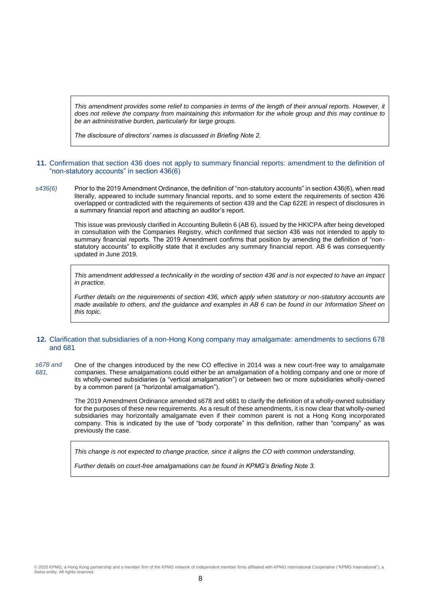*This amendment provides some relief to companies in terms of the length of their annual reports. However, it does not relieve the company from maintaining this information for the whole group and this may continue to be an administrative burden, particularly for large groups.* 

*The disclosure of directors' names is discussed in Briefing Note 2.*

#### **11.** Confirmation that section 436 does not apply to summary financial reports: amendment to the definition of "non-statutory accounts" in section 436(6)

*s436(6)* Prior to the 2019 Amendment Ordinance, the definition of "non-statutory accounts" in section 436(6), when read literally, appeared to include summary financial reports, and to some extent the requirements of section 436 overlapped or contradicted with the requirements of section 439 and the Cap 622E in respect of disclosures in a summary financial report and attaching an auditor's report.

> This issue was previously clarified in Accounting Bulletin 6 (AB 6), issued by the HKICPA after being developed in consultation with the Companies Registry, which confirmed that section 436 was not intended to apply to summary financial reports. The 2019 Amendment confirms that position by amending the definition of "nonstatutory accounts" to explicitly state that it excludes any summary financial report. AB 6 was consequently updated in June 2019.

> *This amendment addressed a technicality in the wording of section 436 and is not expected to have an impact in practice.*

> *Further details on the requirements of section 436, which apply when statutory or non-statutory accounts are made available to others, and the guidance and examples in AB 6 can be found in our Information Sheet on this topic.*

#### **12.** Clarification that subsidiaries of a non-Hong Kong company may amalgamate: amendments to sections 678 and 681

*s678 and 681,*  One of the changes introduced by the new CO effective in 2014 was a new court-free way to amalgamate companies. These amalgamations could either be an amalgamation of a holding company and one or more of its wholly-owned subsidiaries (a "vertical amalgamation") or between two or more subsidiaries wholly-owned by a common parent (a "horizontal amalgamation").

> The 2019 Amendment Ordinance amended s678 and s681 to clarify the definition of a wholly-owned subsidiary for the purposes of these new requirements. As a result of these amendments, it is now clear that wholly-owned subsidiaries may horizontally amalgamate even if their common parent is not a Hong Kong incorporated company. This is indicated by the use of "body corporate" in this definition, rather than "company" as was previously the case.

*This change is not expected to change practice, since it aligns the CO with common understanding.*

*Further details on court-free amalgamations can be found in KPMG's Briefing Note 3.*